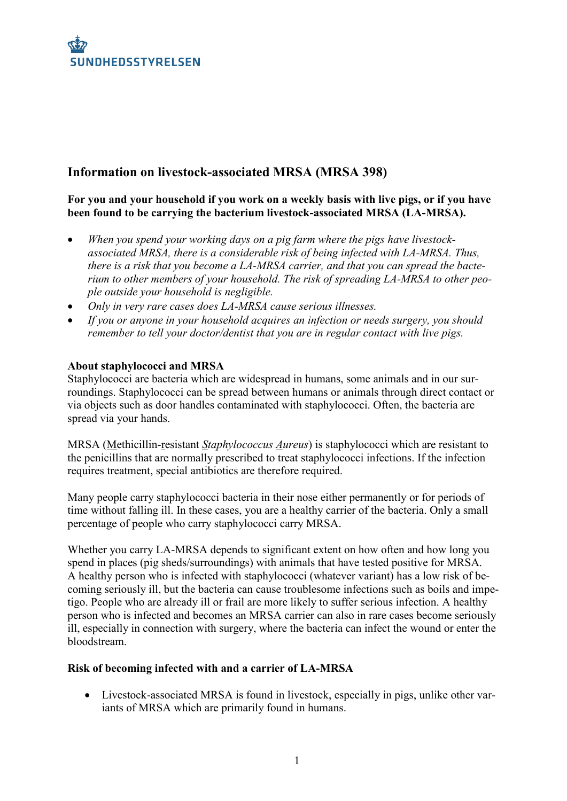# **Information on livestock-associated MRSA (MRSA 398)**

**For you and your household if you work on a weekly basis with live pigs, or if you have been found to be carrying the bacterium livestock-associated MRSA (LA-MRSA).**

- *When you spend your working days on a pig farm where the pigs have livestockassociated MRSA, there is a considerable risk of being infected with LA-MRSA. Thus, there is a risk that you become a LA-MRSA carrier, and that you can spread the bacterium to other members of your household. The risk of spreading LA-MRSA to other people outside your household is negligible.*
- *Only in very rare cases does LA-MRSA cause serious illnesses.*
- *If you or anyone in your household acquires an infection or needs surgery, you should remember to tell your doctor/dentist that you are in regular contact with live pigs.*

## **About staphylococci and MRSA**

Staphylococci are bacteria which are widespread in humans, some animals and in our surroundings. Staphylococci can be spread between humans or animals through direct contact or via objects such as door handles contaminated with staphylococci. Often, the bacteria are spread via your hands.

MRSA (Methicillin-resistant *Staphylococcus Aureus*) is staphylococci which are resistant to the penicillins that are normally prescribed to treat staphylococci infections. If the infection requires treatment, special antibiotics are therefore required.

Many people carry staphylococci bacteria in their nose either permanently or for periods of time without falling ill. In these cases, you are a healthy carrier of the bacteria. Only a small percentage of people who carry staphylococci carry MRSA.

Whether you carry LA-MRSA depends to significant extent on how often and how long you spend in places (pig sheds/surroundings) with animals that have tested positive for MRSA. A healthy person who is infected with staphylococci (whatever variant) has a low risk of becoming seriously ill, but the bacteria can cause troublesome infections such as boils and impetigo. People who are already ill or frail are more likely to suffer serious infection. A healthy person who is infected and becomes an MRSA carrier can also in rare cases become seriously ill, especially in connection with surgery, where the bacteria can infect the wound or enter the bloodstream.

## **Risk of becoming infected with and a carrier of LA-MRSA**

 Livestock-associated MRSA is found in livestock, especially in pigs, unlike other variants of MRSA which are primarily found in humans.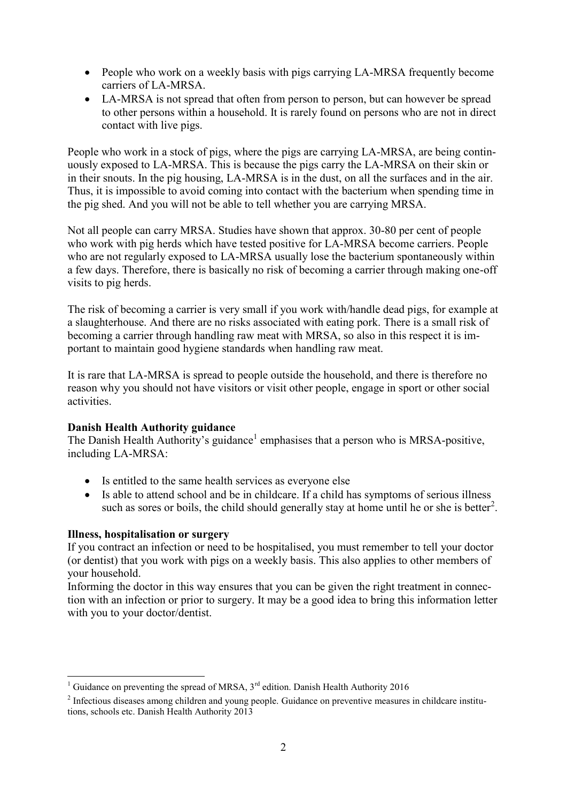- People who work on a weekly basis with pigs carrying LA-MRSA frequently become carriers of LA-MRSA.
- LA-MRSA is not spread that often from person to person, but can however be spread to other persons within a household. It is rarely found on persons who are not in direct contact with live pigs.

People who work in a stock of pigs, where the pigs are carrying LA-MRSA, are being continuously exposed to LA-MRSA. This is because the pigs carry the LA-MRSA on their skin or in their snouts. In the pig housing, LA-MRSA is in the dust, on all the surfaces and in the air. Thus, it is impossible to avoid coming into contact with the bacterium when spending time in the pig shed. And you will not be able to tell whether you are carrying MRSA.

Not all people can carry MRSA. Studies have shown that approx. 30-80 per cent of people who work with pig herds which have tested positive for LA-MRSA become carriers. People who are not regularly exposed to LA-MRSA usually lose the bacterium spontaneously within a few days. Therefore, there is basically no risk of becoming a carrier through making one-off visits to pig herds.

The risk of becoming a carrier is very small if you work with/handle dead pigs, for example at a slaughterhouse. And there are no risks associated with eating pork. There is a small risk of becoming a carrier through handling raw meat with MRSA, so also in this respect it is important to maintain good hygiene standards when handling raw meat.

It is rare that LA-MRSA is spread to people outside the household, and there is therefore no reason why you should not have visitors or visit other people, engage in sport or other social activities.

## **Danish Health Authority guidance**

The Danish Health Authority's guidance<sup>1</sup> emphasises that a person who is MRSA-positive, including LA-MRSA:

- Is entitled to the same health services as everyone else
- Is able to attend school and be in childcare. If a child has symptoms of serious illness such as sores or boils, the child should generally stay at home until he or she is better<sup>2</sup>.

## **Illness, hospitalisation or surgery**

 $\overline{a}$ 

If you contract an infection or need to be hospitalised, you must remember to tell your doctor (or dentist) that you work with pigs on a weekly basis. This also applies to other members of your household.

Informing the doctor in this way ensures that you can be given the right treatment in connection with an infection or prior to surgery. It may be a good idea to bring this information letter with you to your doctor/dentist.

<sup>&</sup>lt;sup>1</sup> Guidance on preventing the spread of MRSA,  $3<sup>rd</sup>$  edition. Danish Health Authority 2016

 $2$  Infectious diseases among children and young people. Guidance on preventive measures in childcare institutions, schools etc. Danish Health Authority 2013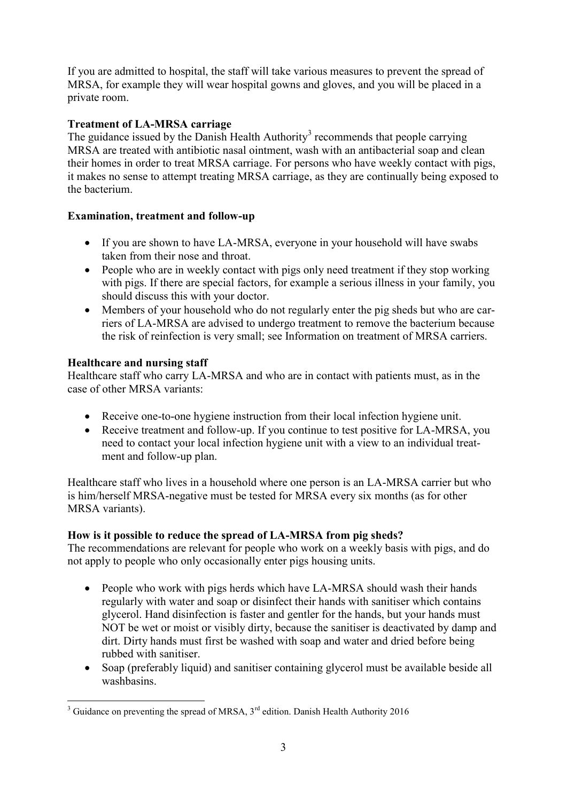If you are admitted to hospital, the staff will take various measures to prevent the spread of MRSA, for example they will wear hospital gowns and gloves, and you will be placed in a private room.

## **Treatment of LA-MRSA carriage**

The guidance issued by the Danish Health Authority<sup>3</sup> recommends that people carrying MRSA are treated with antibiotic nasal ointment, wash with an antibacterial soap and clean their homes in order to treat MRSA carriage. For persons who have weekly contact with pigs, it makes no sense to attempt treating MRSA carriage, as they are continually being exposed to the bacterium.

## **Examination, treatment and follow-up**

- If you are shown to have LA-MRSA, everyone in your household will have swabs taken from their nose and throat.
- People who are in weekly contact with pigs only need treatment if they stop working with pigs. If there are special factors, for example a serious illness in your family, you should discuss this with your doctor.
- Members of your household who do not regularly enter the pig sheds but who are carriers of LA-MRSA are advised to undergo treatment to remove the bacterium because the risk of reinfection is very small; see Information on treatment of MRSA carriers.

## **Healthcare and nursing staff**

Healthcare staff who carry LA-MRSA and who are in contact with patients must, as in the case of other MRSA variants:

- Receive one-to-one hygiene instruction from their local infection hygiene unit.
- Receive treatment and follow-up. If you continue to test positive for LA-MRSA, you need to contact your local infection hygiene unit with a view to an individual treatment and follow-up plan.

Healthcare staff who lives in a household where one person is an LA-MRSA carrier but who is him/herself MRSA-negative must be tested for MRSA every six months (as for other MRSA variants).

## **How is it possible to reduce the spread of LA-MRSA from pig sheds?**

The recommendations are relevant for people who work on a weekly basis with pigs, and do not apply to people who only occasionally enter pigs housing units.

- People who work with pigs herds which have LA-MRSA should wash their hands regularly with water and soap or disinfect their hands with sanitiser which contains glycerol. Hand disinfection is faster and gentler for the hands, but your hands must NOT be wet or moist or visibly dirty, because the sanitiser is deactivated by damp and dirt. Dirty hands must first be washed with soap and water and dried before being rubbed with sanitiser.
- Soap (preferably liquid) and sanitiser containing glycerol must be available beside all washbasins.

 $\overline{a}$ <sup>3</sup> Guidance on preventing the spread of MRSA,  $3<sup>rd</sup>$  edition. Danish Health Authority 2016